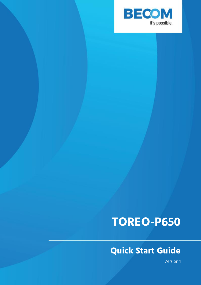

# **TOREO-P650**

## **Quick Start Guide**

Version 1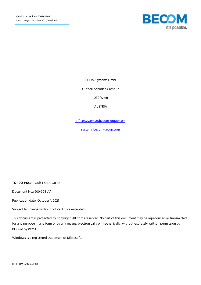

BECOM Systems GmbH

Gutheil-Schoder-Gasse 17

1230 Wien

AUSTRIA

[office.systems@becom-group.com](mailto:office.systems@becom-group.com)

[systems.becom-group.com](http://systems.becom-group.com/)

**TOREO-P650** – Quick Start Guide

Document No.: 900-308 / A

Publication date: October 1, 2021

Subject to change without notice. Errors excepted.

This document is protected by copyright. All rights reserved. No part of this document may be reproduced or transmitted for any purpose in any form or by any means, electronically or mechanically, without expressly written permission by BECOM Systems.

Windows is a registered trademark of Microsoft.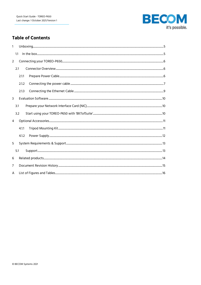

## **Table of Contents**

| $\mathbf{1}$   |     |       |  |
|----------------|-----|-------|--|
|                | 1.1 |       |  |
| $\overline{2}$ |     |       |  |
|                | 2.1 |       |  |
|                |     | 2.1.1 |  |
|                |     | 2.1.2 |  |
|                |     | 2.1.3 |  |
| 3              |     |       |  |
|                | 3.1 |       |  |
|                | 3.2 |       |  |
| 4              |     |       |  |
|                |     | 4.1.1 |  |
|                |     | 4.1.2 |  |
| 5              |     |       |  |
|                | 5.1 |       |  |
| 6              |     |       |  |
| 7              |     |       |  |
| A              |     |       |  |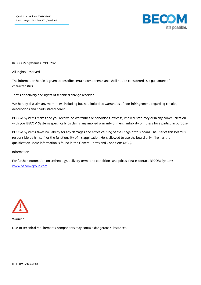

© BECOM Systems GmbH 2021

All Rights Reserved.

The information herein is given to describe certain components and shall not be considered as a guarantee of characteristics.

Terms of delivery and rights of technical change reserved.

We hereby disclaim any warranties, including but not limited to warranties of non-infringement, regarding circuits, descriptions and charts stated herein.

BECOM Systems makes and you receive no warranties or conditions, express, implied, statutory or in any communication with you. BECOM Systems specifically disclaims any implied warranty of merchantability or fitness for a particular purpose.

BECOM Systems takes no liability for any damages and errors causing of the usage of this board. The user of this board is responsible by himself for the functionality of his application. He is allowed to use the board only if he has the qualification. More information is found in the General Terms and Conditions (AGB).

#### Information

For further information on technology, delivery terms and conditions and prices please contact BECOM Systems [www.becom-group.com](http://www.becom-group.com/)



Warning

Due to technical requirements components may contain dangerous substances.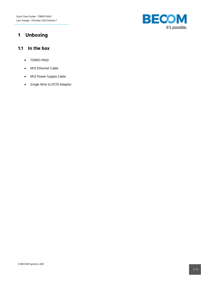

## <span id="page-4-0"></span>**1 Unboxing**

#### <span id="page-4-1"></span>**1.1 In the box**

- TOREO-P650
- M12 Ethernet Cable
- M12 Power Supply Cable
- Single Wire to DC10 Adapter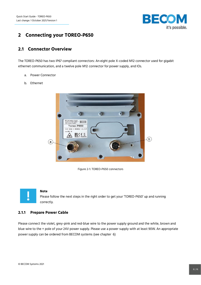

## <span id="page-5-0"></span>**2 Connecting your TOREO-P650**

#### <span id="page-5-1"></span>**2.1 Connector Overview**

The TOREO-P650 has two IP67 compliant connectors: An eight pole X-coded M12 connector used for gigabit ethernet communication, and a twelve pole M12 connector for power supply, and IOs.

- a. Power Connector
- b. Ethernet



Figure 2-1: TOREO-P650 connectors

<span id="page-5-3"></span>

#### **Note**

Please follow the next steps in the right order to get your 'TOREO-P650' up and running correctly.

#### <span id="page-5-2"></span>**2.1.1 Prepare Power Cable**

Please connect the violet, grey-pink and red-blue wire to the power supply ground and the white, brown and blue wire to the + pole of your 24V power supply. Please use a power supply with at least 90W. An appropriate power supply can be ordered from BECOM systems (see chapter [6\)](#page-13-0)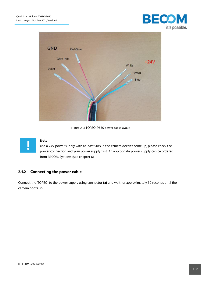

**BECOM** 

Figure 2-2: TOREO-P650 power cable layout

<span id="page-6-1"></span>

#### **Note**

Use a 24V power supply with at least 90W. If the camera doesn't come up, please check the power connection and your power supply first. An appropriate power supply can be ordered from BECOM Systems (see chapter [6\)](#page-13-0)

#### <span id="page-6-0"></span>**2.1.2 Connecting the power cable**

Connect the 'TOREO' to the power supply using connector **(a)** and wait for approximately 30 seconds until the camera boots up.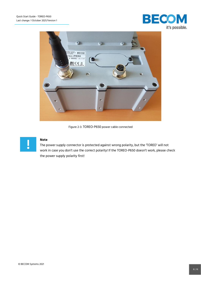



Figure 2-3: TOREO-P650 power cable connected

<span id="page-7-0"></span>

#### **Note**

The power supply connector is protected against wrong polarity, but the 'TOREO' will not work in case you don't use the correct polarity! If the TOREO-P650 doesn't work, please check the power supply polarity first!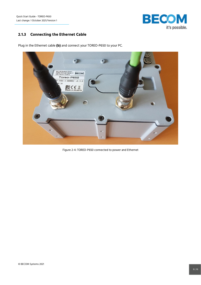Quick Start Guide - TOREO-P650 Last change: 1 October 2021/Version 1



#### <span id="page-8-0"></span>**2.1.3 Connecting the Ethernet Cable**

Plug in the Ethernet cable **(b)** and connect your TOREO-P650 to your PC.

| SAUTE WAS CITE<br><b>ZAMA BRATA</b> ARABAN<br>$-1$<br>69.                                                                                                                                                                                                                                                                                                         |  |
|-------------------------------------------------------------------------------------------------------------------------------------------------------------------------------------------------------------------------------------------------------------------------------------------------------------------------------------------------------------------|--|
| has a series that the series of the contract of the series of the contract of the contract of the contract of the contract of the contract of the contract of the contract of the contract of the contract of the contract of<br>BECOM Systems GmbH<br>Guthell-Schoder-Gasse 17<br>1230 Vienna / Austria<br>Toreo-P650<br>$0 - 3086 - 1 - 000002$ v1.3.0<br>AV 1A |  |
| $\sum_{\text{Mode in Austria}}$                                                                                                                                                                                                                                                                                                                                   |  |
| 100000                                                                                                                                                                                                                                                                                                                                                            |  |
|                                                                                                                                                                                                                                                                                                                                                                   |  |
| 435.0                                                                                                                                                                                                                                                                                                                                                             |  |

<span id="page-8-1"></span>Figure 2-4: TOREO-P650 connected to power and Ethernet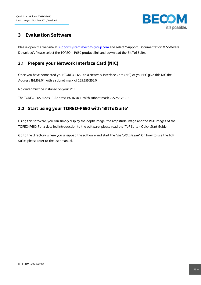

## <span id="page-9-0"></span>**3 Evaluation Software**

Please open the website at [support.systems.becom-group.com](https://support.systems.becom-group.com/) and select "Support, Documentation & Software Download". Please select the TOREO – P650 product link and download the Blt Tof Suite.

## <span id="page-9-1"></span>**3.1 Prepare your Network Interface Card (NIC)**

Once you have connected your TOREO-P650 to a Network Interface Card (NIC) of your PC give this NIC the IP-Address 192.168.0.1 with a subnet mask of 255.255.255.0.

No driver must be installed on your PC!

The TOREO-P650 uses IP-Address 192.168.0.10 with subnet mask 255.255.255.0.

## <span id="page-9-2"></span>**3.2 Start using your TOREO-P650 with 'BltTofSuite'**

Using this software, you can simply display the depth image, the amplitude image and the RGB images of the TOREO-P650. For a detailed introduction to the software, please read the 'ToF Suite - Quick Start Guide'

Go to the directory where you unzipped the software and start the "BltTofSuite.exe". On how to use the ToF Suite, please refer to the user manual.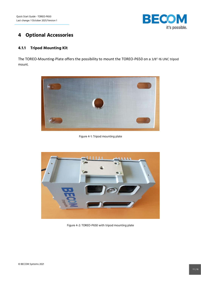

## <span id="page-10-0"></span>**4 Optional Accessories**

### <span id="page-10-1"></span>**4.1.1 Tripod Mounting Kit**

The TOREO-Mounting-Plate offers the possibility to mount the TOREO-P650 on a 3/8"-16 UNC tripod mount.



Figure 4-1: Tripod mounting plate

<span id="page-10-3"></span><span id="page-10-2"></span>

Figure 4-2: TOREO-P650 with tripod mounting plate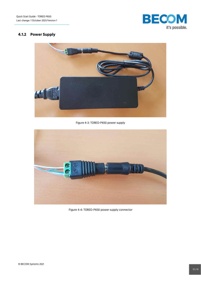

## <span id="page-11-0"></span>**4.1.2 Power Supply**



Figure 4-3: TOREO-P650 power supply

<span id="page-11-2"></span><span id="page-11-1"></span>

Figure 4-4: TOREO-P650 power supply connector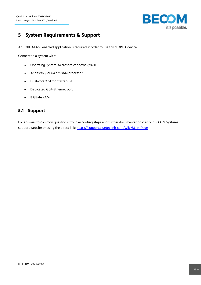

## <span id="page-12-0"></span>**5 System Requirements & Support**

An TOREO-P650 enabled application is required in order to use this 'TOREO' device.

Connect to a system with:

- Operating System: Microsoft Windows 7/8/10
- 32 bit (x68) or 64 bit (x64) processor
- Dual-core 2 GHz or faster CPU
- Dedicated Gbit-Ethernet port
- 8 GByte RAM

#### <span id="page-12-1"></span>**5.1 Support**

For answers to common questions, troubleshooting steps and further documentation visit our BECOM Systems support website or using the direct link: [https://support.bluetechnix.com/wiki/Main\\_Page](https://support.bluetechnix.com/wiki/Main_Page)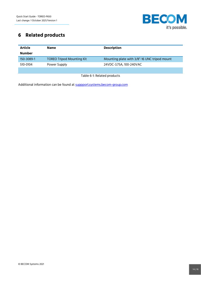

## <span id="page-13-0"></span>**6 Related products**

| <b>Article</b><br><b>Number</b> | <b>Name</b>                      | <b>Description</b>                           |
|---------------------------------|----------------------------------|----------------------------------------------|
| 150-3089-1                      | <b>TOREO Tripod Mounting Kit</b> | Mounting plate with 3/8"-16 UNC tripod mount |
| 510-0104                        | Power Supply                     | 24VDC-3.75A, 100-240VAC                      |
|                                 |                                  |                                              |

Table 6-1: Related products

<span id="page-13-1"></span>Additional information can be found at [suppport.systems.becom-group.com](https://support.becom-group.com/)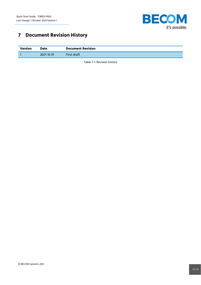

## <span id="page-14-0"></span>**7 Document Revision History**

<span id="page-14-1"></span>

| Version | Date       | <b>Document Revision</b> |
|---------|------------|--------------------------|
|         | 2021 10 01 | First draft              |

Table 7-1: Revision history